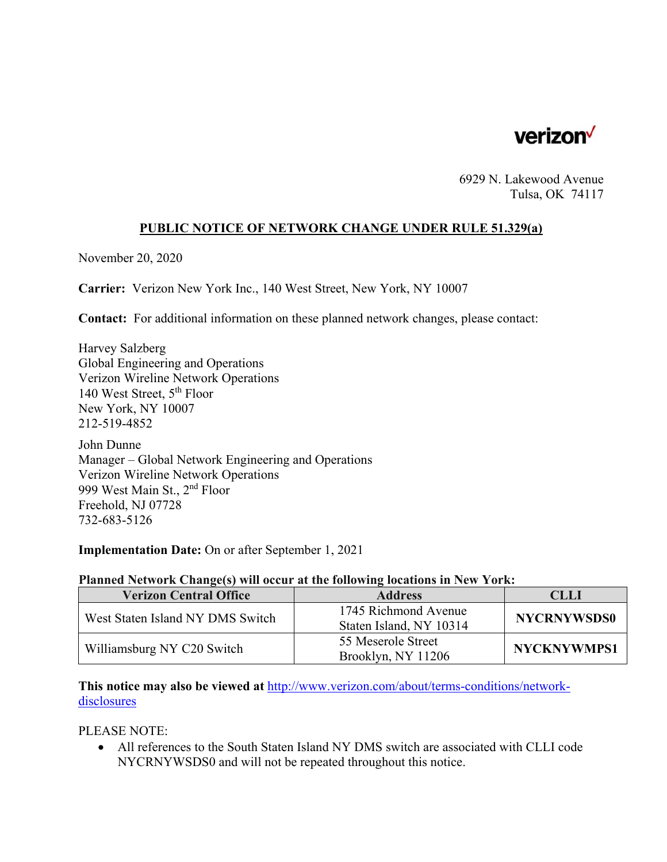

6929 N. Lakewood Avenue Tulsa, OK 74117

## **PUBLIC NOTICE OF NETWORK CHANGE UNDER RULE 51.329(a)**

November 20, 2020

**Carrier:** Verizon New York Inc., 140 West Street, New York, NY 10007

**Contact:** For additional information on these planned network changes, please contact:

Harvey Salzberg Global Engineering and Operations Verizon Wireline Network Operations 140 West Street, 5<sup>th</sup> Floor New York, NY 10007 212-519-4852

John Dunne Manager – Global Network Engineering and Operations Verizon Wireline Network Operations 999 West Main St., 2nd Floor Freehold, NJ 07728 732-683-5126

**Implementation Date:** On or after September 1, 2021

## **Planned Network Change(s) will occur at the following locations in New York:**

| <b>Verizon Central Office</b>    | <b>Address</b>                                  | CLLI               |
|----------------------------------|-------------------------------------------------|--------------------|
| West Staten Island NY DMS Switch | 1745 Richmond Avenue<br>Staten Island, NY 10314 | <b>NYCRNYWSDS0</b> |
| Williamsburg NY C20 Switch       | 55 Meserole Street<br>Brooklyn, NY 11206        | NYCKNYWMPS1        |

**This notice may also be viewed at** http://www.verizon.com/about/terms-conditions/networkdisclosures

PLEASE NOTE:

 All references to the South Staten Island NY DMS switch are associated with CLLI code NYCRNYWSDS0 and will not be repeated throughout this notice.